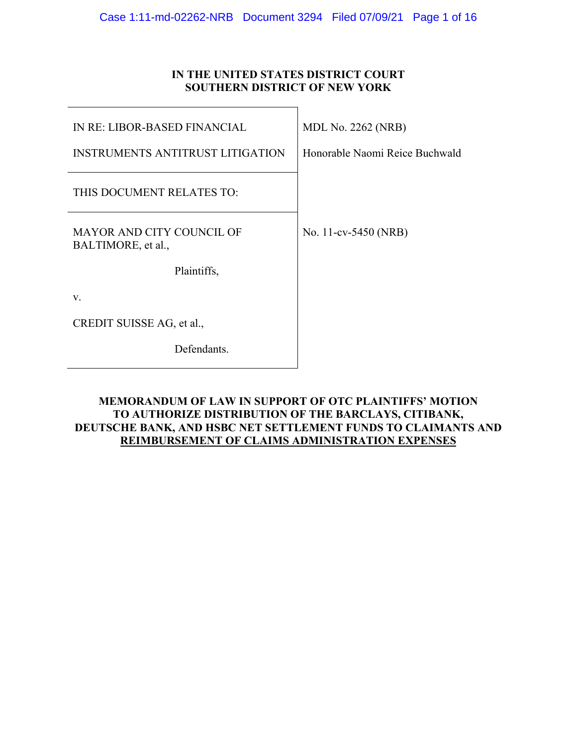# **IN THE UNITED STATES DISTRICT COURT SOUTHERN DISTRICT OF NEW YORK**

| <b>IN RE: LIBOR-BASED FINANCIAL</b>                    | <b>MDL No. 2262 (NRB)</b>      |
|--------------------------------------------------------|--------------------------------|
| <b>INSTRUMENTS ANTITRUST LITIGATION</b>                | Honorable Naomi Reice Buchwald |
| THIS DOCUMENT RELATES TO:                              |                                |
| <b>MAYOR AND CITY COUNCIL OF</b><br>BALTIMORE, et al., | No. 11-cv-5450 (NRB)           |
| Plaintiffs,                                            |                                |
| V.                                                     |                                |
| CREDIT SUISSE AG, et al.,                              |                                |
| Defendants.                                            |                                |

# **MEMORANDUM OF LAW IN SUPPORT OF OTC PLAINTIFFS' MOTION TO AUTHORIZE DISTRIBUTION OF THE BARCLAYS, CITIBANK, DEUTSCHE BANK, AND HSBC NET SETTLEMENT FUNDS TO CLAIMANTS AND REIMBURSEMENT OF CLAIMS ADMINISTRATION EXPENSES**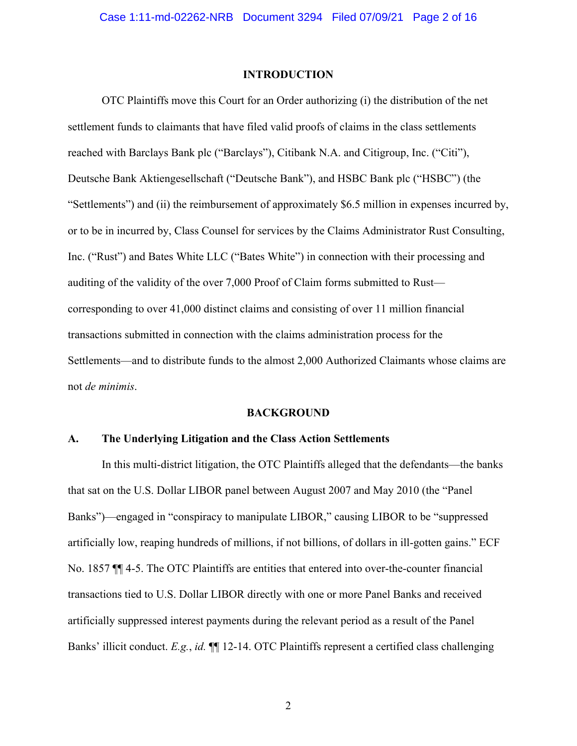### **INTRODUCTION**

 OTC Plaintiffs move this Court for an Order authorizing (i) the distribution of the net settlement funds to claimants that have filed valid proofs of claims in the class settlements reached with Barclays Bank plc ("Barclays"), Citibank N.A. and Citigroup, Inc. ("Citi"), Deutsche Bank Aktiengesellschaft ("Deutsche Bank"), and HSBC Bank plc ("HSBC") (the "Settlements") and (ii) the reimbursement of approximately \$6.5 million in expenses incurred by, or to be in incurred by, Class Counsel for services by the Claims Administrator Rust Consulting, Inc. ("Rust") and Bates White LLC ("Bates White") in connection with their processing and auditing of the validity of the over 7,000 Proof of Claim forms submitted to Rust corresponding to over 41,000 distinct claims and consisting of over 11 million financial transactions submitted in connection with the claims administration process for the Settlements—and to distribute funds to the almost 2,000 Authorized Claimants whose claims are not *de minimis*.

#### **BACKGROUND**

### **A. The Underlying Litigation and the Class Action Settlements**

In this multi-district litigation, the OTC Plaintiffs alleged that the defendants—the banks that sat on the U.S. Dollar LIBOR panel between August 2007 and May 2010 (the "Panel Banks")—engaged in "conspiracy to manipulate LIBOR," causing LIBOR to be "suppressed artificially low, reaping hundreds of millions, if not billions, of dollars in ill-gotten gains." ECF No. 1857 ¶¶ 4-5. The OTC Plaintiffs are entities that entered into over-the-counter financial transactions tied to U.S. Dollar LIBOR directly with one or more Panel Banks and received artificially suppressed interest payments during the relevant period as a result of the Panel Banks' illicit conduct. *E.g.*, *id.* ¶¶ 12-14. OTC Plaintiffs represent a certified class challenging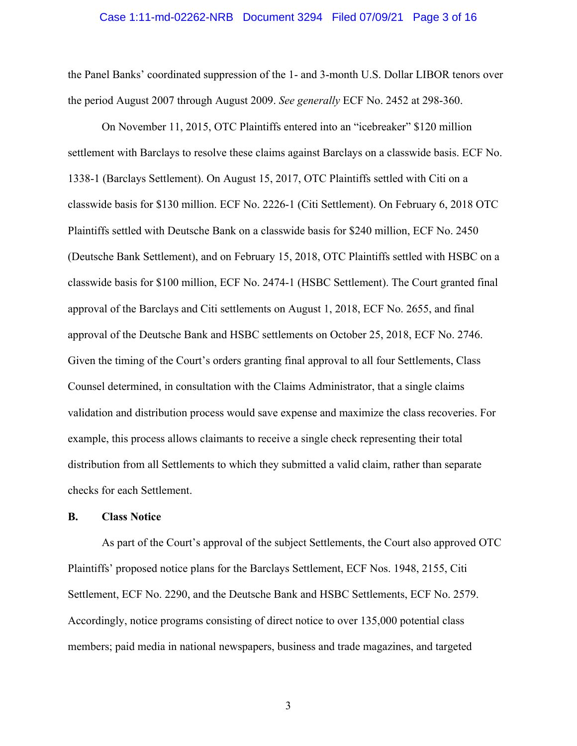#### Case 1:11-md-02262-NRB Document 3294 Filed 07/09/21 Page 3 of 16

the Panel Banks' coordinated suppression of the 1- and 3-month U.S. Dollar LIBOR tenors over the period August 2007 through August 2009. *See generally* ECF No. 2452 at 298-360.

On November 11, 2015, OTC Plaintiffs entered into an "icebreaker" \$120 million settlement with Barclays to resolve these claims against Barclays on a classwide basis. ECF No. 1338-1 (Barclays Settlement). On August 15, 2017, OTC Plaintiffs settled with Citi on a classwide basis for \$130 million. ECF No. 2226-1 (Citi Settlement). On February 6, 2018 OTC Plaintiffs settled with Deutsche Bank on a classwide basis for \$240 million, ECF No. 2450 (Deutsche Bank Settlement), and on February 15, 2018, OTC Plaintiffs settled with HSBC on a classwide basis for \$100 million, ECF No. 2474-1 (HSBC Settlement). The Court granted final approval of the Barclays and Citi settlements on August 1, 2018, ECF No. 2655, and final approval of the Deutsche Bank and HSBC settlements on October 25, 2018, ECF No. 2746. Given the timing of the Court's orders granting final approval to all four Settlements, Class Counsel determined, in consultation with the Claims Administrator, that a single claims validation and distribution process would save expense and maximize the class recoveries. For example, this process allows claimants to receive a single check representing their total distribution from all Settlements to which they submitted a valid claim, rather than separate checks for each Settlement.

### **B. Class Notice**

As part of the Court's approval of the subject Settlements, the Court also approved OTC Plaintiffs' proposed notice plans for the Barclays Settlement, ECF Nos. 1948, 2155, Citi Settlement, ECF No. 2290, and the Deutsche Bank and HSBC Settlements, ECF No. 2579. Accordingly, notice programs consisting of direct notice to over 135,000 potential class members; paid media in national newspapers, business and trade magazines, and targeted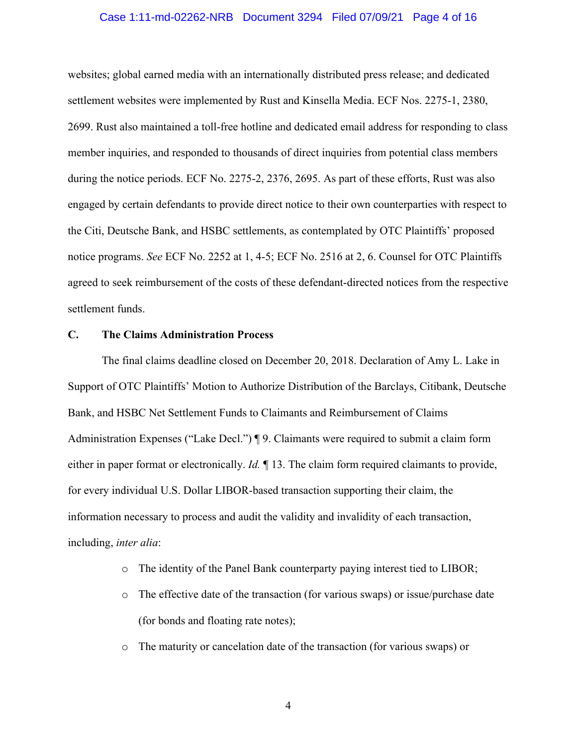### Case 1:11-md-02262-NRB Document 3294 Filed 07/09/21 Page 4 of 16

websites; global earned media with an internationally distributed press release; and dedicated settlement websites were implemented by Rust and Kinsella Media. ECF Nos. 2275-1, 2380, 2699. Rust also maintained a toll-free hotline and dedicated email address for responding to class member inquiries, and responded to thousands of direct inquiries from potential class members during the notice periods. ECF No. 2275-2, 2376, 2695. As part of these efforts, Rust was also engaged by certain defendants to provide direct notice to their own counterparties with respect to the Citi, Deutsche Bank, and HSBC settlements, as contemplated by OTC Plaintiffs' proposed notice programs. *See* ECF No. 2252 at 1, 4-5; ECF No. 2516 at 2, 6. Counsel for OTC Plaintiffs agreed to seek reimbursement of the costs of these defendant-directed notices from the respective settlement funds.

### **C. The Claims Administration Process**

The final claims deadline closed on December 20, 2018. Declaration of Amy L. Lake in Support of OTC Plaintiffs' Motion to Authorize Distribution of the Barclays, Citibank, Deutsche Bank, and HSBC Net Settlement Funds to Claimants and Reimbursement of Claims Administration Expenses ("Lake Decl.") ¶ 9. Claimants were required to submit a claim form either in paper format or electronically. *Id.* ¶ 13. The claim form required claimants to provide, for every individual U.S. Dollar LIBOR-based transaction supporting their claim, the information necessary to process and audit the validity and invalidity of each transaction, including, *inter alia*:

- o The identity of the Panel Bank counterparty paying interest tied to LIBOR;
- o The effective date of the transaction (for various swaps) or issue/purchase date (for bonds and floating rate notes);
- o The maturity or cancelation date of the transaction (for various swaps) or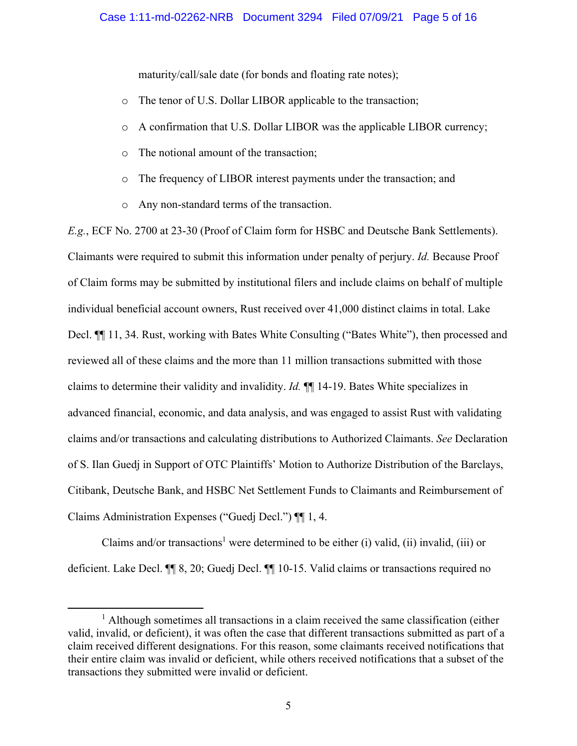maturity/call/sale date (for bonds and floating rate notes);

- o The tenor of U.S. Dollar LIBOR applicable to the transaction;
- o A confirmation that U.S. Dollar LIBOR was the applicable LIBOR currency;
- o The notional amount of the transaction;
- o The frequency of LIBOR interest payments under the transaction; and
- o Any non-standard terms of the transaction.

*E.g.*, ECF No. 2700 at 23-30 (Proof of Claim form for HSBC and Deutsche Bank Settlements). Claimants were required to submit this information under penalty of perjury. *Id.* Because Proof of Claim forms may be submitted by institutional filers and include claims on behalf of multiple individual beneficial account owners, Rust received over 41,000 distinct claims in total. Lake Decl.  $\P$  11, 34. Rust, working with Bates White Consulting ("Bates White"), then processed and reviewed all of these claims and the more than 11 million transactions submitted with those claims to determine their validity and invalidity. *Id.* ¶¶ 14-19. Bates White specializes in advanced financial, economic, and data analysis, and was engaged to assist Rust with validating claims and/or transactions and calculating distributions to Authorized Claimants. *See* Declaration of S. Ilan Guedj in Support of OTC Plaintiffs' Motion to Authorize Distribution of the Barclays, Citibank, Deutsche Bank, and HSBC Net Settlement Funds to Claimants and Reimbursement of Claims Administration Expenses ("Guedj Decl.") ¶¶ 1, 4.

Claims and/or transactions<sup>1</sup> were determined to be either (i) valid, (ii) invalid, (iii) or deficient. Lake Decl. ¶¶ 8, 20; Guedj Decl. ¶¶ 10-15. Valid claims or transactions required no

<sup>&</sup>lt;sup>1</sup> Although sometimes all transactions in a claim received the same classification (either valid, invalid, or deficient), it was often the case that different transactions submitted as part of a claim received different designations. For this reason, some claimants received notifications that their entire claim was invalid or deficient, while others received notifications that a subset of the transactions they submitted were invalid or deficient.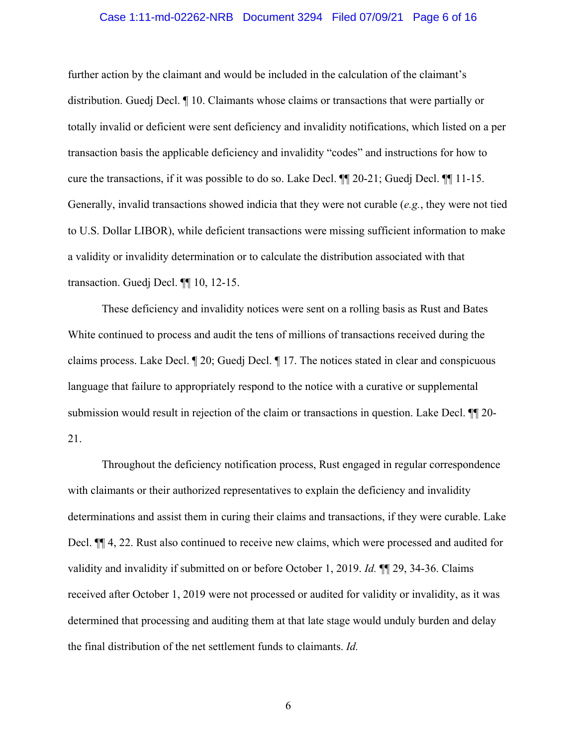### Case 1:11-md-02262-NRB Document 3294 Filed 07/09/21 Page 6 of 16

further action by the claimant and would be included in the calculation of the claimant's distribution. Guedj Decl. ¶ 10. Claimants whose claims or transactions that were partially or totally invalid or deficient were sent deficiency and invalidity notifications, which listed on a per transaction basis the applicable deficiency and invalidity "codes" and instructions for how to cure the transactions, if it was possible to do so. Lake Decl. ¶¶ 20-21; Guedj Decl. ¶¶ 11-15. Generally, invalid transactions showed indicia that they were not curable (*e.g.*, they were not tied to U.S. Dollar LIBOR), while deficient transactions were missing sufficient information to make a validity or invalidity determination or to calculate the distribution associated with that transaction. Guedj Decl. ¶¶ 10, 12-15.

These deficiency and invalidity notices were sent on a rolling basis as Rust and Bates White continued to process and audit the tens of millions of transactions received during the claims process. Lake Decl. ¶ 20; Guedj Decl. ¶ 17. The notices stated in clear and conspicuous language that failure to appropriately respond to the notice with a curative or supplemental submission would result in rejection of the claim or transactions in question. Lake Decl. ¶¶ 20- 21.

Throughout the deficiency notification process, Rust engaged in regular correspondence with claimants or their authorized representatives to explain the deficiency and invalidity determinations and assist them in curing their claims and transactions, if they were curable. Lake Decl. ¶¶ 4, 22. Rust also continued to receive new claims, which were processed and audited for validity and invalidity if submitted on or before October 1, 2019. *Id.* ¶¶ 29, 34-36. Claims received after October 1, 2019 were not processed or audited for validity or invalidity, as it was determined that processing and auditing them at that late stage would unduly burden and delay the final distribution of the net settlement funds to claimants. *Id.*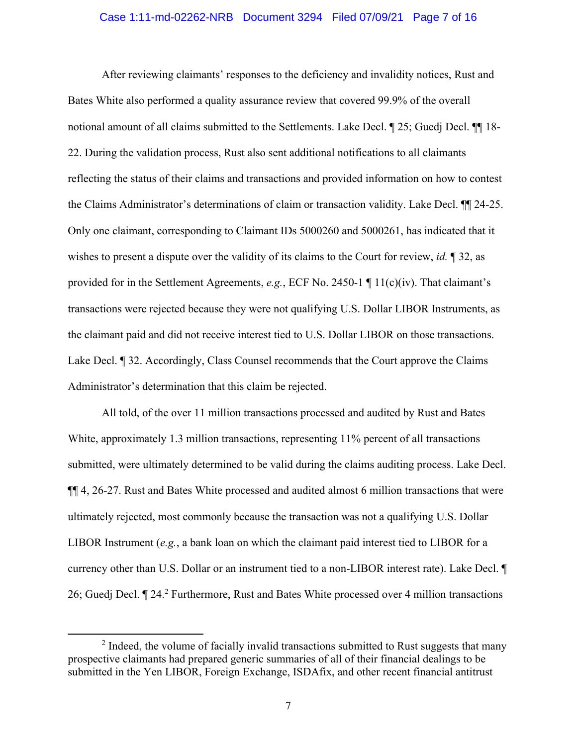### Case 1:11-md-02262-NRB Document 3294 Filed 07/09/21 Page 7 of 16

After reviewing claimants' responses to the deficiency and invalidity notices, Rust and Bates White also performed a quality assurance review that covered 99.9% of the overall notional amount of all claims submitted to the Settlements. Lake Decl. ¶ 25; Guedj Decl. ¶¶ 18- 22. During the validation process, Rust also sent additional notifications to all claimants reflecting the status of their claims and transactions and provided information on how to contest the Claims Administrator's determinations of claim or transaction validity. Lake Decl. ¶¶ 24-25. Only one claimant, corresponding to Claimant IDs 5000260 and 5000261, has indicated that it wishes to present a dispute over the validity of its claims to the Court for review, *id.* ¶ 32, as provided for in the Settlement Agreements, *e.g.*, ECF No. 2450-1 ¶ 11(c)(iv). That claimant's transactions were rejected because they were not qualifying U.S. Dollar LIBOR Instruments, as the claimant paid and did not receive interest tied to U.S. Dollar LIBOR on those transactions. Lake Decl. ¶ 32. Accordingly, Class Counsel recommends that the Court approve the Claims Administrator's determination that this claim be rejected.

All told, of the over 11 million transactions processed and audited by Rust and Bates White, approximately 1.3 million transactions, representing 11% percent of all transactions submitted, were ultimately determined to be valid during the claims auditing process. Lake Decl. ¶¶ 4, 26-27. Rust and Bates White processed and audited almost 6 million transactions that were ultimately rejected, most commonly because the transaction was not a qualifying U.S. Dollar LIBOR Instrument (*e.g.*, a bank loan on which the claimant paid interest tied to LIBOR for a currency other than U.S. Dollar or an instrument tied to a non-LIBOR interest rate). Lake Decl. ¶ 26; Guedj Decl. ¶ 24.<sup>2</sup> Furthermore, Rust and Bates White processed over 4 million transactions

 $2$  Indeed, the volume of facially invalid transactions submitted to Rust suggests that many prospective claimants had prepared generic summaries of all of their financial dealings to be submitted in the Yen LIBOR, Foreign Exchange, ISDAfix, and other recent financial antitrust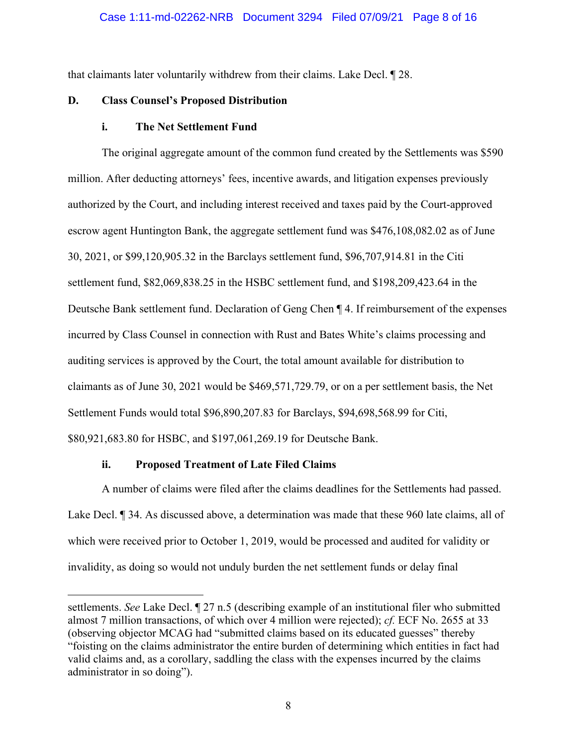that claimants later voluntarily withdrew from their claims. Lake Decl. ¶ 28.

### **D. Class Counsel's Proposed Distribution**

### **i. The Net Settlement Fund**

The original aggregate amount of the common fund created by the Settlements was \$590 million. After deducting attorneys' fees, incentive awards, and litigation expenses previously authorized by the Court, and including interest received and taxes paid by the Court-approved escrow agent Huntington Bank, the aggregate settlement fund was \$476,108,082.02 as of June 30, 2021, or \$99,120,905.32 in the Barclays settlement fund, \$96,707,914.81 in the Citi settlement fund, \$82,069,838.25 in the HSBC settlement fund, and \$198,209,423.64 in the Deutsche Bank settlement fund. Declaration of Geng Chen ¶ 4. If reimbursement of the expenses incurred by Class Counsel in connection with Rust and Bates White's claims processing and auditing services is approved by the Court, the total amount available for distribution to claimants as of June 30, 2021 would be \$469,571,729.79, or on a per settlement basis, the Net Settlement Funds would total \$96,890,207.83 for Barclays, \$94,698,568.99 for Citi, \$80,921,683.80 for HSBC, and \$197,061,269.19 for Deutsche Bank.

### **ii. Proposed Treatment of Late Filed Claims**

A number of claims were filed after the claims deadlines for the Settlements had passed. Lake Decl. ¶ 34. As discussed above, a determination was made that these 960 late claims, all of which were received prior to October 1, 2019, would be processed and audited for validity or invalidity, as doing so would not unduly burden the net settlement funds or delay final

settlements. *See* Lake Decl. ¶ 27 n.5 (describing example of an institutional filer who submitted almost 7 million transactions, of which over 4 million were rejected); *cf.* ECF No. 2655 at 33 (observing objector MCAG had "submitted claims based on its educated guesses" thereby "foisting on the claims administrator the entire burden of determining which entities in fact had valid claims and, as a corollary, saddling the class with the expenses incurred by the claims administrator in so doing").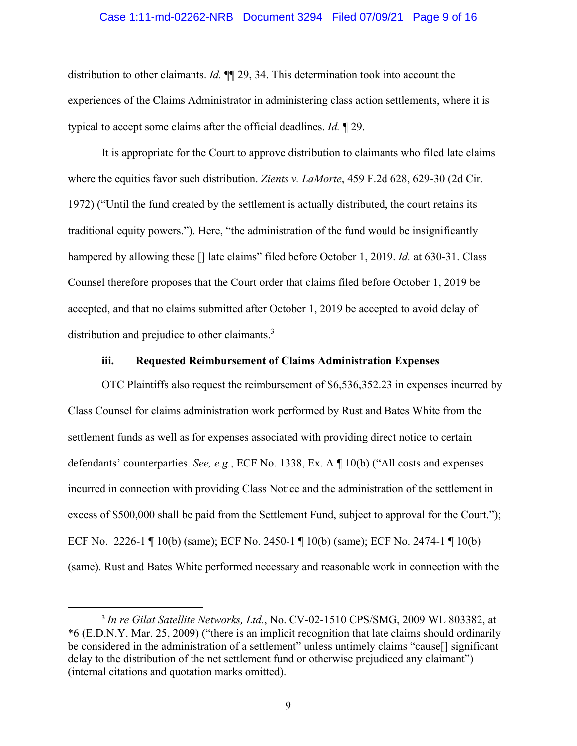### Case 1:11-md-02262-NRB Document 3294 Filed 07/09/21 Page 9 of 16

distribution to other claimants. *Id.* ¶¶ 29, 34. This determination took into account the experiences of the Claims Administrator in administering class action settlements, where it is typical to accept some claims after the official deadlines. *Id.* ¶ 29.

It is appropriate for the Court to approve distribution to claimants who filed late claims where the equities favor such distribution. *Zients v. LaMorte*, 459 F.2d 628, 629-30 (2d Cir. 1972) ("Until the fund created by the settlement is actually distributed, the court retains its traditional equity powers."). Here, "the administration of the fund would be insignificantly hampered by allowing these [] late claims" filed before October 1, 2019. *Id.* at 630-31. Class Counsel therefore proposes that the Court order that claims filed before October 1, 2019 be accepted, and that no claims submitted after October 1, 2019 be accepted to avoid delay of distribution and prejudice to other claimants.<sup>3</sup>

### **iii. Requested Reimbursement of Claims Administration Expenses**

OTC Plaintiffs also request the reimbursement of \$6,536,352.23 in expenses incurred by Class Counsel for claims administration work performed by Rust and Bates White from the settlement funds as well as for expenses associated with providing direct notice to certain defendants' counterparties. *See, e.g.*, ECF No. 1338, Ex. A ¶ 10(b) ("All costs and expenses incurred in connection with providing Class Notice and the administration of the settlement in excess of \$500,000 shall be paid from the Settlement Fund, subject to approval for the Court."); ECF No. 2226-1 ¶ 10(b) (same); ECF No. 2450-1 ¶ 10(b) (same); ECF No. 2474-1 ¶ 10(b) (same). Rust and Bates White performed necessary and reasonable work in connection with the

<sup>3</sup> *In re Gilat Satellite Networks, Ltd.*, No. CV-02-1510 CPS/SMG, 2009 WL 803382, at \*6 (E.D.N.Y. Mar. 25, 2009) ("there is an implicit recognition that late claims should ordinarily be considered in the administration of a settlement" unless untimely claims "cause<sup>[]</sup> significant delay to the distribution of the net settlement fund or otherwise prejudiced any claimant") (internal citations and quotation marks omitted).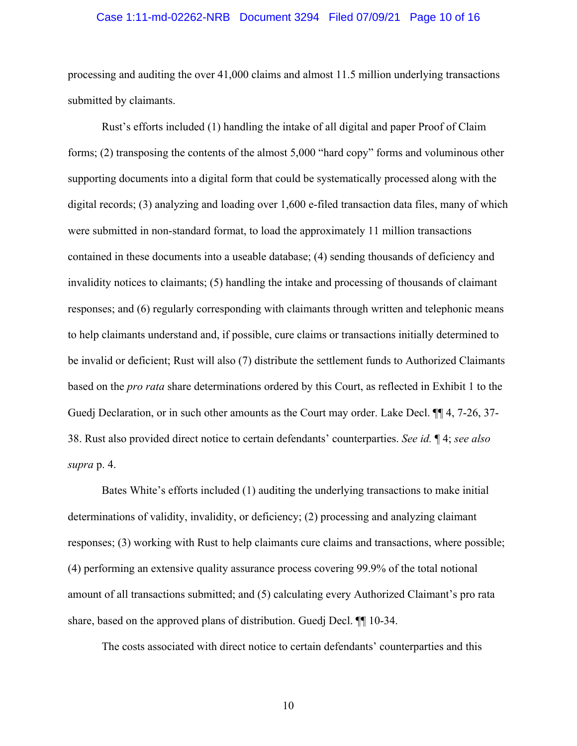### Case 1:11-md-02262-NRB Document 3294 Filed 07/09/21 Page 10 of 16

processing and auditing the over 41,000 claims and almost 11.5 million underlying transactions submitted by claimants.

Rust's efforts included (1) handling the intake of all digital and paper Proof of Claim forms; (2) transposing the contents of the almost 5,000 "hard copy" forms and voluminous other supporting documents into a digital form that could be systematically processed along with the digital records; (3) analyzing and loading over 1,600 e-filed transaction data files, many of which were submitted in non-standard format, to load the approximately 11 million transactions contained in these documents into a useable database; (4) sending thousands of deficiency and invalidity notices to claimants; (5) handling the intake and processing of thousands of claimant responses; and (6) regularly corresponding with claimants through written and telephonic means to help claimants understand and, if possible, cure claims or transactions initially determined to be invalid or deficient; Rust will also (7) distribute the settlement funds to Authorized Claimants based on the *pro rata* share determinations ordered by this Court, as reflected in Exhibit 1 to the Guedj Declaration, or in such other amounts as the Court may order. Lake Decl. ¶¶ 4, 7-26, 37- 38. Rust also provided direct notice to certain defendants' counterparties. *See id.* ¶ 4; *see also supra* p. 4.

Bates White's efforts included (1) auditing the underlying transactions to make initial determinations of validity, invalidity, or deficiency; (2) processing and analyzing claimant responses; (3) working with Rust to help claimants cure claims and transactions, where possible; (4) performing an extensive quality assurance process covering 99.9% of the total notional amount of all transactions submitted; and (5) calculating every Authorized Claimant's pro rata share, based on the approved plans of distribution. Guedj Decl. ¶¶ 10-34.

The costs associated with direct notice to certain defendants' counterparties and this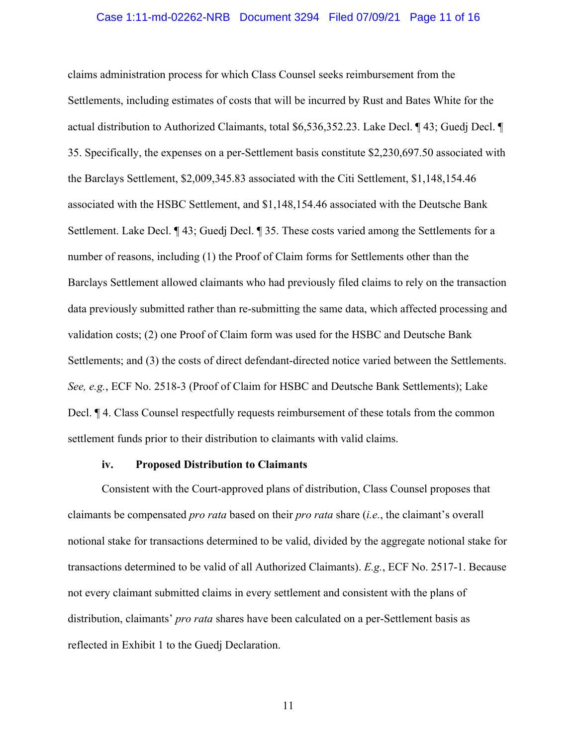### Case 1:11-md-02262-NRB Document 3294 Filed 07/09/21 Page 11 of 16

claims administration process for which Class Counsel seeks reimbursement from the Settlements, including estimates of costs that will be incurred by Rust and Bates White for the actual distribution to Authorized Claimants, total \$6,536,352.23. Lake Decl. ¶ 43; Guedj Decl. ¶ 35. Specifically, the expenses on a per-Settlement basis constitute \$2,230,697.50 associated with the Barclays Settlement, \$2,009,345.83 associated with the Citi Settlement, \$1,148,154.46 associated with the HSBC Settlement, and \$1,148,154.46 associated with the Deutsche Bank Settlement. Lake Decl. ¶ 43; Guedj Decl. ¶ 35. These costs varied among the Settlements for a number of reasons, including (1) the Proof of Claim forms for Settlements other than the Barclays Settlement allowed claimants who had previously filed claims to rely on the transaction data previously submitted rather than re-submitting the same data, which affected processing and validation costs; (2) one Proof of Claim form was used for the HSBC and Deutsche Bank Settlements; and (3) the costs of direct defendant-directed notice varied between the Settlements. *See, e.g.*, ECF No. 2518-3 (Proof of Claim for HSBC and Deutsche Bank Settlements); Lake Decl. ¶ 4. Class Counsel respectfully requests reimbursement of these totals from the common settlement funds prior to their distribution to claimants with valid claims.

### **iv. Proposed Distribution to Claimants**

Consistent with the Court-approved plans of distribution, Class Counsel proposes that claimants be compensated *pro rata* based on their *pro rata* share (*i.e.*, the claimant's overall notional stake for transactions determined to be valid, divided by the aggregate notional stake for transactions determined to be valid of all Authorized Claimants). *E.g.*, ECF No. 2517-1. Because not every claimant submitted claims in every settlement and consistent with the plans of distribution, claimants' *pro rata* shares have been calculated on a per-Settlement basis as reflected in Exhibit 1 to the Guedj Declaration.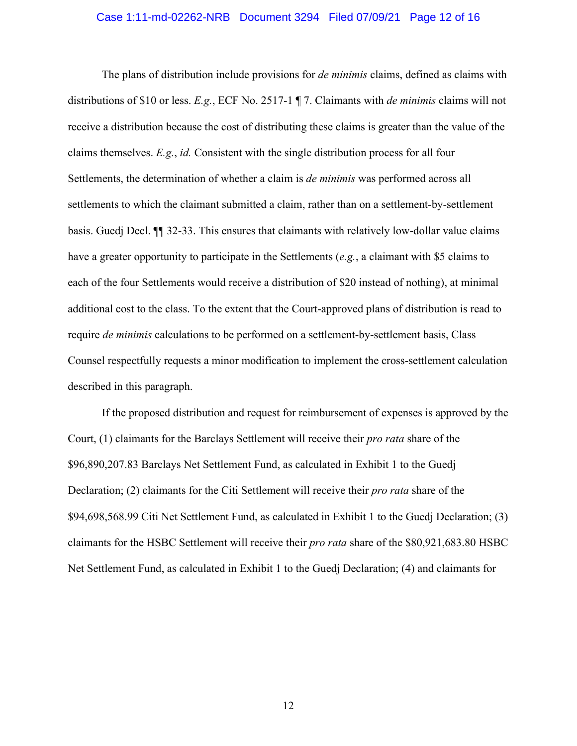### Case 1:11-md-02262-NRB Document 3294 Filed 07/09/21 Page 12 of 16

The plans of distribution include provisions for *de minimis* claims, defined as claims with distributions of \$10 or less. *E.g.*, ECF No. 2517-1 ¶ 7. Claimants with *de minimis* claims will not receive a distribution because the cost of distributing these claims is greater than the value of the claims themselves. *E.g.*, *id.* Consistent with the single distribution process for all four Settlements, the determination of whether a claim is *de minimis* was performed across all settlements to which the claimant submitted a claim, rather than on a settlement-by-settlement basis. Guedj Decl. ¶¶ 32-33. This ensures that claimants with relatively low-dollar value claims have a greater opportunity to participate in the Settlements (*e.g.*, a claimant with \$5 claims to each of the four Settlements would receive a distribution of \$20 instead of nothing), at minimal additional cost to the class. To the extent that the Court-approved plans of distribution is read to require *de minimis* calculations to be performed on a settlement-by-settlement basis, Class Counsel respectfully requests a minor modification to implement the cross-settlement calculation described in this paragraph.

If the proposed distribution and request for reimbursement of expenses is approved by the Court, (1) claimants for the Barclays Settlement will receive their *pro rata* share of the \$96,890,207.83 Barclays Net Settlement Fund, as calculated in Exhibit 1 to the Guedj Declaration; (2) claimants for the Citi Settlement will receive their *pro rata* share of the \$94,698,568.99 Citi Net Settlement Fund, as calculated in Exhibit 1 to the Guedj Declaration; (3) claimants for the HSBC Settlement will receive their *pro rata* share of the \$80,921,683.80 HSBC Net Settlement Fund, as calculated in Exhibit 1 to the Guedj Declaration; (4) and claimants for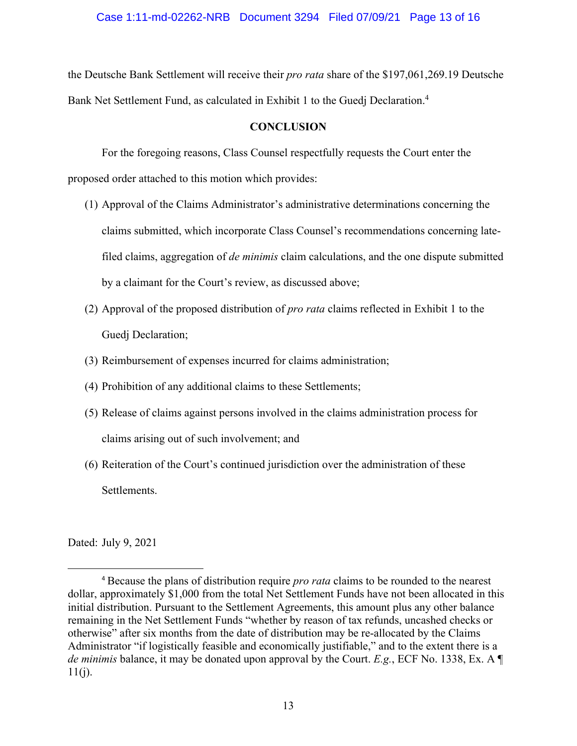the Deutsche Bank Settlement will receive their *pro rata* share of the \$197,061,269.19 Deutsche Bank Net Settlement Fund, as calculated in Exhibit 1 to the Guedj Declaration.<sup>4</sup>

## **CONCLUSION**

 For the foregoing reasons, Class Counsel respectfully requests the Court enter the proposed order attached to this motion which provides:

- (1) Approval of the Claims Administrator's administrative determinations concerning the claims submitted, which incorporate Class Counsel's recommendations concerning latefiled claims, aggregation of *de minimis* claim calculations, and the one dispute submitted by a claimant for the Court's review, as discussed above;
- (2) Approval of the proposed distribution of *pro rata* claims reflected in Exhibit 1 to the Guedj Declaration;
- (3) Reimbursement of expenses incurred for claims administration;
- (4) Prohibition of any additional claims to these Settlements;
- (5) Release of claims against persons involved in the claims administration process for claims arising out of such involvement; and
- (6) Reiteration of the Court's continued jurisdiction over the administration of these Settlements.

Dated: July 9, 2021

<sup>4</sup> Because the plans of distribution require *pro rata* claims to be rounded to the nearest dollar, approximately \$1,000 from the total Net Settlement Funds have not been allocated in this initial distribution. Pursuant to the Settlement Agreements, this amount plus any other balance remaining in the Net Settlement Funds "whether by reason of tax refunds, uncashed checks or otherwise" after six months from the date of distribution may be re-allocated by the Claims Administrator "if logistically feasible and economically justifiable," and to the extent there is a *de minimis* balance, it may be donated upon approval by the Court. *E.g.*, ECF No. 1338, Ex. A ¶  $11(j)$ .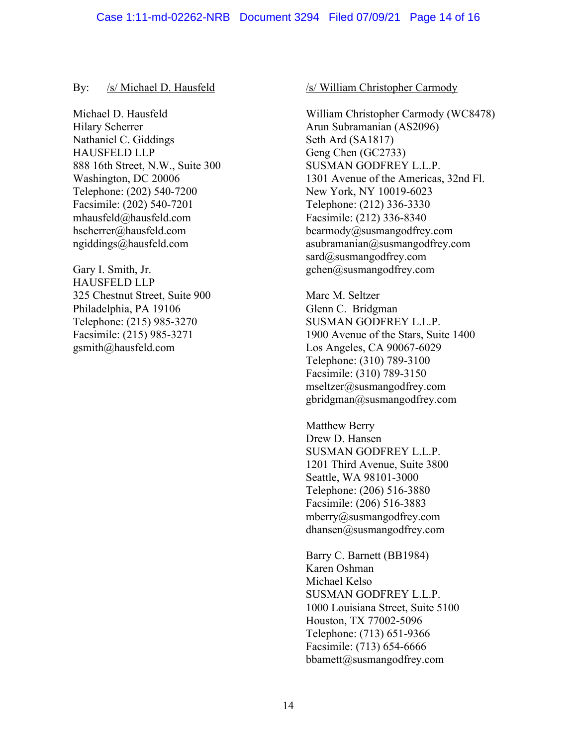### By: /s/ Michael D. Hausfeld

Michael D. Hausfeld Hilary Scherrer Nathaniel C. Giddings HAUSFELD LLP 888 16th Street, N.W., Suite 300 Washington, DC 20006 Telephone: (202) 540-7200 Facsimile: (202) 540-7201 mhausfeld@hausfeld.com hscherrer@hausfeld.com ngiddings@hausfeld.com

Gary I. Smith, Jr. HAUSFELD LLP 325 Chestnut Street, Suite 900 Philadelphia, PA 19106 Telephone: (215) 985-3270 Facsimile: (215) 985-3271 gsmith@hausfeld.com

### /s/ William Christopher Carmody

William Christopher Carmody (WC8478) Arun Subramanian (AS2096) Seth Ard (SA1817) Geng Chen (GC2733) SUSMAN GODFREY L.L.P. 1301 Avenue of the Americas, 32nd Fl. New York, NY 10019-6023 Telephone: (212) 336-3330 Facsimile: (212) 336-8340 bcarmody@susmangodfrey.com asubramanian@susmangodfrey.com sard@susmangodfrey.com gchen@susmangodfrey.com

Marc M. Seltzer Glenn C. Bridgman SUSMAN GODFREY L.L.P. 1900 Avenue of the Stars, Suite 1400 Los Angeles, CA 90067-6029 Telephone: (310) 789-3100 Facsimile: (310) 789-3150 mseltzer@susmangodfrey.com gbridgman@susmangodfrey.com

Matthew Berry Drew D. Hansen SUSMAN GODFREY L.L.P. 1201 Third Avenue, Suite 3800 Seattle, WA 98101-3000 Telephone: (206) 516-3880 Facsimile: (206) 516-3883 mberry@susmangodfrey.com dhansen@susmangodfrey.com

Barry C. Barnett (BB1984) Karen Oshman Michael Kelso SUSMAN GODFREY L.L.P. 1000 Louisiana Street, Suite 5100 Houston, TX 77002-5096 Telephone: (713) 651-9366 Facsimile: (713) 654-6666 bbamett@susmangodfrey.com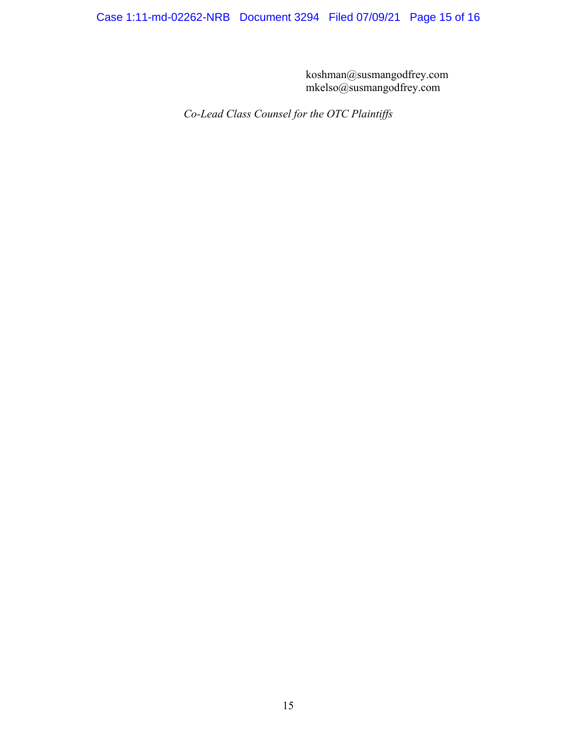koshman@susmangodfrey.com mkelso@susmangodfrey.com

*Co-Lead Class Counsel for the OTC Plaintiffs*